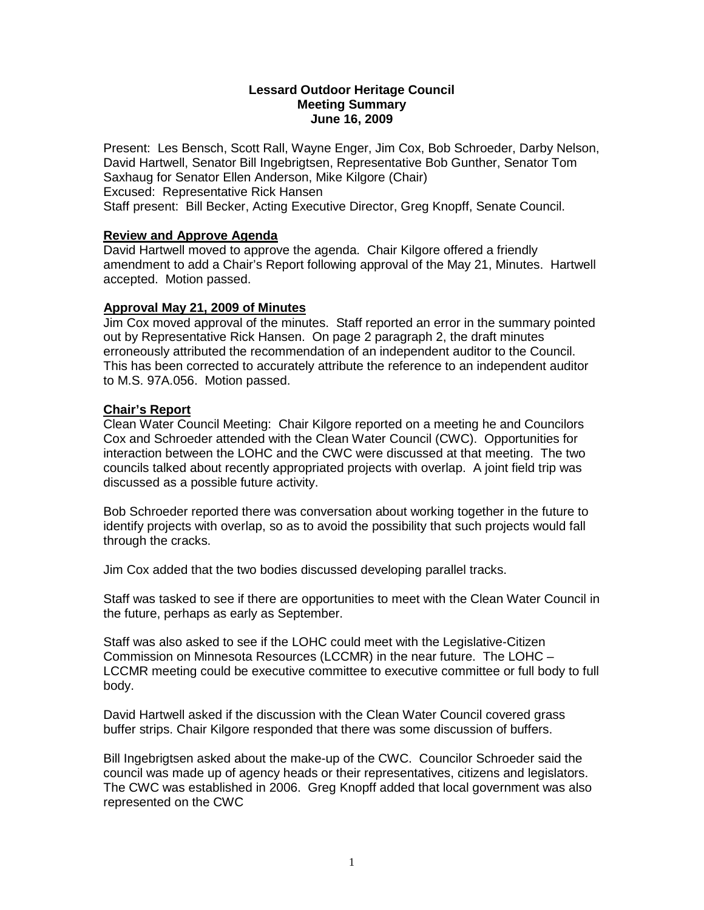#### **Lessard Outdoor Heritage Council Meeting Summary June 16, 2009**

Present: Les Bensch, Scott Rall, Wayne Enger, Jim Cox, Bob Schroeder, Darby Nelson, David Hartwell, Senator Bill Ingebrigtsen, Representative Bob Gunther, Senator Tom Saxhaug for Senator Ellen Anderson, Mike Kilgore (Chair) Excused: Representative Rick Hansen Staff present: Bill Becker, Acting Executive Director, Greg Knopff, Senate Council.

## **Review and Approve Agenda**

David Hartwell moved to approve the agenda. Chair Kilgore offered a friendly amendment to add a Chair's Report following approval of the May 21, Minutes. Hartwell accepted. Motion passed.

## **Approval May 21, 2009 of Minutes**

Jim Cox moved approval of the minutes. Staff reported an error in the summary pointed out by Representative Rick Hansen. On page 2 paragraph 2, the draft minutes erroneously attributed the recommendation of an independent auditor to the Council. This has been corrected to accurately attribute the reference to an independent auditor to M.S. 97A.056. Motion passed.

## **Chair's Report**

Clean Water Council Meeting: Chair Kilgore reported on a meeting he and Councilors Cox and Schroeder attended with the Clean Water Council (CWC). Opportunities for interaction between the LOHC and the CWC were discussed at that meeting. The two councils talked about recently appropriated projects with overlap. A joint field trip was discussed as a possible future activity.

Bob Schroeder reported there was conversation about working together in the future to identify projects with overlap, so as to avoid the possibility that such projects would fall through the cracks.

Jim Cox added that the two bodies discussed developing parallel tracks.

Staff was tasked to see if there are opportunities to meet with the Clean Water Council in the future, perhaps as early as September.

Staff was also asked to see if the LOHC could meet with the Legislative-Citizen Commission on Minnesota Resources (LCCMR) in the near future. The LOHC – LCCMR meeting could be executive committee to executive committee or full body to full body.

David Hartwell asked if the discussion with the Clean Water Council covered grass buffer strips. Chair Kilgore responded that there was some discussion of buffers.

Bill Ingebrigtsen asked about the make-up of the CWC. Councilor Schroeder said the council was made up of agency heads or their representatives, citizens and legislators. The CWC was established in 2006. Greg Knopff added that local government was also represented on the CWC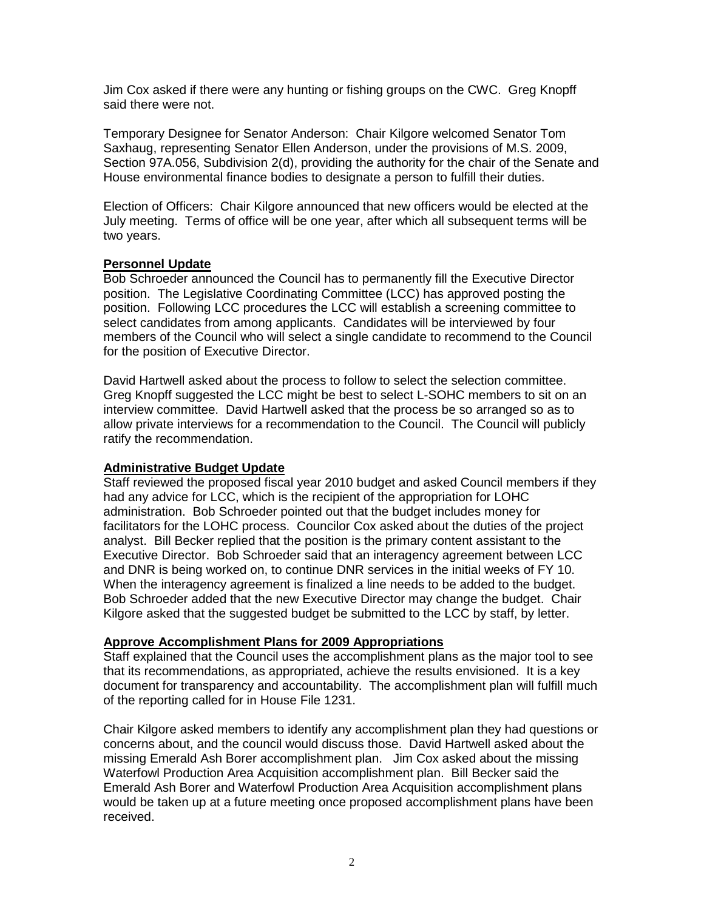Jim Cox asked if there were any hunting or fishing groups on the CWC. Greg Knopff said there were not.

Temporary Designee for Senator Anderson: Chair Kilgore welcomed Senator Tom Saxhaug, representing Senator Ellen Anderson, under the provisions of M.S. 2009, Section 97A.056, Subdivision 2(d), providing the authority for the chair of the Senate and House environmental finance bodies to designate a person to fulfill their duties.

Election of Officers: Chair Kilgore announced that new officers would be elected at the July meeting. Terms of office will be one year, after which all subsequent terms will be two years.

## **Personnel Update**

Bob Schroeder announced the Council has to permanently fill the Executive Director position. The Legislative Coordinating Committee (LCC) has approved posting the position. Following LCC procedures the LCC will establish a screening committee to select candidates from among applicants. Candidates will be interviewed by four members of the Council who will select a single candidate to recommend to the Council for the position of Executive Director.

David Hartwell asked about the process to follow to select the selection committee. Greg Knopff suggested the LCC might be best to select L-SOHC members to sit on an interview committee. David Hartwell asked that the process be so arranged so as to allow private interviews for a recommendation to the Council. The Council will publicly ratify the recommendation.

# **Administrative Budget Update**

Staff reviewed the proposed fiscal year 2010 budget and asked Council members if they had any advice for LCC, which is the recipient of the appropriation for LOHC administration. Bob Schroeder pointed out that the budget includes money for facilitators for the LOHC process. Councilor Cox asked about the duties of the project analyst. Bill Becker replied that the position is the primary content assistant to the Executive Director. Bob Schroeder said that an interagency agreement between LCC and DNR is being worked on, to continue DNR services in the initial weeks of FY 10. When the interagency agreement is finalized a line needs to be added to the budget. Bob Schroeder added that the new Executive Director may change the budget. Chair Kilgore asked that the suggested budget be submitted to the LCC by staff, by letter.

#### **Approve Accomplishment Plans for 2009 Appropriations**

Staff explained that the Council uses the accomplishment plans as the major tool to see that its recommendations, as appropriated, achieve the results envisioned. It is a key document for transparency and accountability. The accomplishment plan will fulfill much of the reporting called for in House File 1231.

Chair Kilgore asked members to identify any accomplishment plan they had questions or concerns about, and the council would discuss those. David Hartwell asked about the missing Emerald Ash Borer accomplishment plan. Jim Cox asked about the missing Waterfowl Production Area Acquisition accomplishment plan. Bill Becker said the Emerald Ash Borer and Waterfowl Production Area Acquisition accomplishment plans would be taken up at a future meeting once proposed accomplishment plans have been received.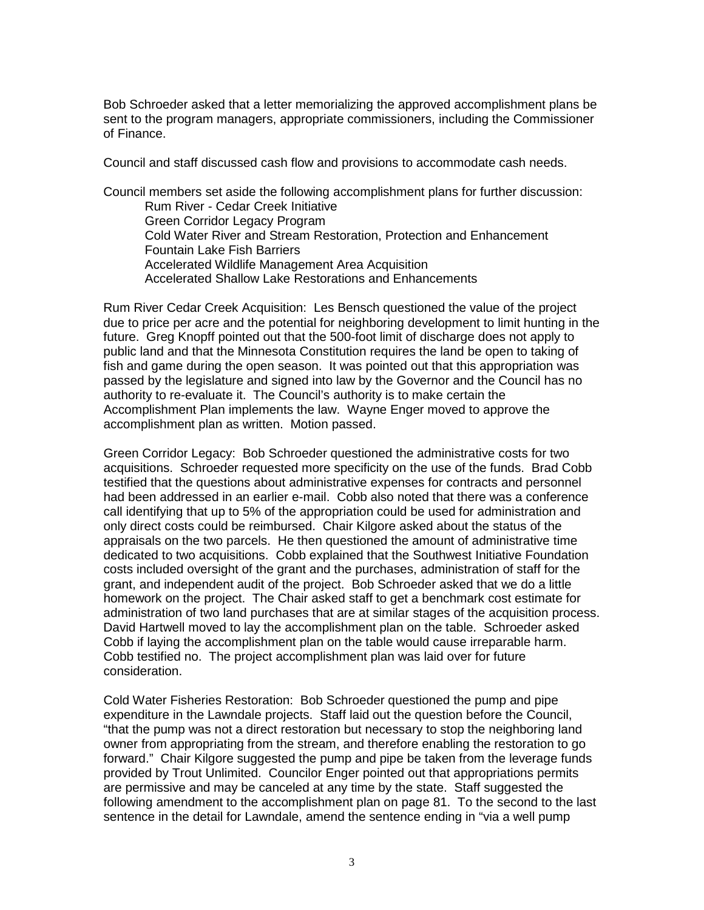Bob Schroeder asked that a letter memorializing the approved accomplishment plans be sent to the program managers, appropriate commissioners, including the Commissioner of Finance.

Council and staff discussed cash flow and provisions to accommodate cash needs.

Council members set aside the following accomplishment plans for further discussion: Rum River - Cedar Creek Initiative Green Corridor Legacy Program Cold Water River and Stream Restoration, Protection and Enhancement Fountain Lake Fish Barriers Accelerated Wildlife Management Area Acquisition Accelerated Shallow Lake Restorations and Enhancements

Rum River Cedar Creek Acquisition: Les Bensch questioned the value of the project due to price per acre and the potential for neighboring development to limit hunting in the future. Greg Knopff pointed out that the 500-foot limit of discharge does not apply to public land and that the Minnesota Constitution requires the land be open to taking of fish and game during the open season. It was pointed out that this appropriation was passed by the legislature and signed into law by the Governor and the Council has no authority to re-evaluate it. The Council's authority is to make certain the Accomplishment Plan implements the law. Wayne Enger moved to approve the accomplishment plan as written. Motion passed.

Green Corridor Legacy: Bob Schroeder questioned the administrative costs for two acquisitions. Schroeder requested more specificity on the use of the funds. Brad Cobb testified that the questions about administrative expenses for contracts and personnel had been addressed in an earlier e-mail. Cobb also noted that there was a conference call identifying that up to 5% of the appropriation could be used for administration and only direct costs could be reimbursed. Chair Kilgore asked about the status of the appraisals on the two parcels. He then questioned the amount of administrative time dedicated to two acquisitions. Cobb explained that the Southwest Initiative Foundation costs included oversight of the grant and the purchases, administration of staff for the grant, and independent audit of the project. Bob Schroeder asked that we do a little homework on the project. The Chair asked staff to get a benchmark cost estimate for administration of two land purchases that are at similar stages of the acquisition process. David Hartwell moved to lay the accomplishment plan on the table. Schroeder asked Cobb if laying the accomplishment plan on the table would cause irreparable harm. Cobb testified no. The project accomplishment plan was laid over for future consideration.

Cold Water Fisheries Restoration: Bob Schroeder questioned the pump and pipe expenditure in the Lawndale projects. Staff laid out the question before the Council, "that the pump was not a direct restoration but necessary to stop the neighboring land owner from appropriating from the stream, and therefore enabling the restoration to go forward." Chair Kilgore suggested the pump and pipe be taken from the leverage funds provided by Trout Unlimited. Councilor Enger pointed out that appropriations permits are permissive and may be canceled at any time by the state. Staff suggested the following amendment to the accomplishment plan on page 81. To the second to the last sentence in the detail for Lawndale, amend the sentence ending in "via a well pump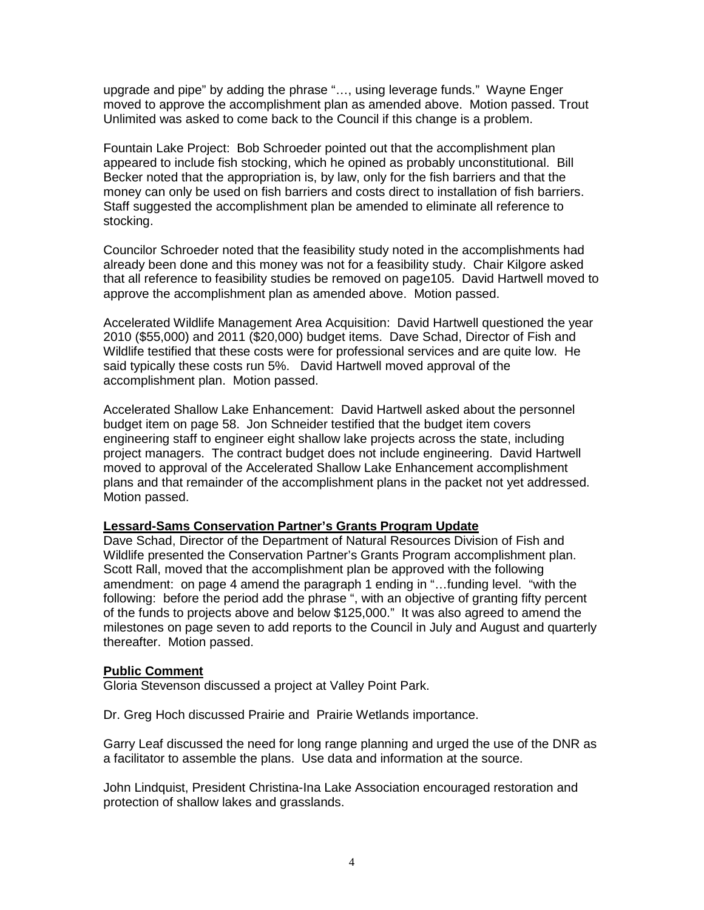upgrade and pipe" by adding the phrase "…, using leverage funds." Wayne Enger moved to approve the accomplishment plan as amended above. Motion passed. Trout Unlimited was asked to come back to the Council if this change is a problem.

Fountain Lake Project: Bob Schroeder pointed out that the accomplishment plan appeared to include fish stocking, which he opined as probably unconstitutional. Bill Becker noted that the appropriation is, by law, only for the fish barriers and that the money can only be used on fish barriers and costs direct to installation of fish barriers. Staff suggested the accomplishment plan be amended to eliminate all reference to stocking.

Councilor Schroeder noted that the feasibility study noted in the accomplishments had already been done and this money was not for a feasibility study. Chair Kilgore asked that all reference to feasibility studies be removed on page105. David Hartwell moved to approve the accomplishment plan as amended above. Motion passed.

Accelerated Wildlife Management Area Acquisition: David Hartwell questioned the year 2010 (\$55,000) and 2011 (\$20,000) budget items. Dave Schad, Director of Fish and Wildlife testified that these costs were for professional services and are quite low. He said typically these costs run 5%. David Hartwell moved approval of the accomplishment plan. Motion passed.

Accelerated Shallow Lake Enhancement: David Hartwell asked about the personnel budget item on page 58. Jon Schneider testified that the budget item covers engineering staff to engineer eight shallow lake projects across the state, including project managers. The contract budget does not include engineering. David Hartwell moved to approval of the Accelerated Shallow Lake Enhancement accomplishment plans and that remainder of the accomplishment plans in the packet not yet addressed. Motion passed.

#### **Lessard-Sams Conservation Partner's Grants Program Update**

Dave Schad, Director of the Department of Natural Resources Division of Fish and Wildlife presented the Conservation Partner's Grants Program accomplishment plan. Scott Rall, moved that the accomplishment plan be approved with the following amendment: on page 4 amend the paragraph 1 ending in "…funding level. "with the following: before the period add the phrase ", with an objective of granting fifty percent of the funds to projects above and below \$125,000." It was also agreed to amend the milestones on page seven to add reports to the Council in July and August and quarterly thereafter. Motion passed.

#### **Public Comment**

Gloria Stevenson discussed a project at Valley Point Park.

Dr. Greg Hoch discussed Prairie and Prairie Wetlands importance.

Garry Leaf discussed the need for long range planning and urged the use of the DNR as a facilitator to assemble the plans. Use data and information at the source.

John Lindquist, President Christina-Ina Lake Association encouraged restoration and protection of shallow lakes and grasslands.